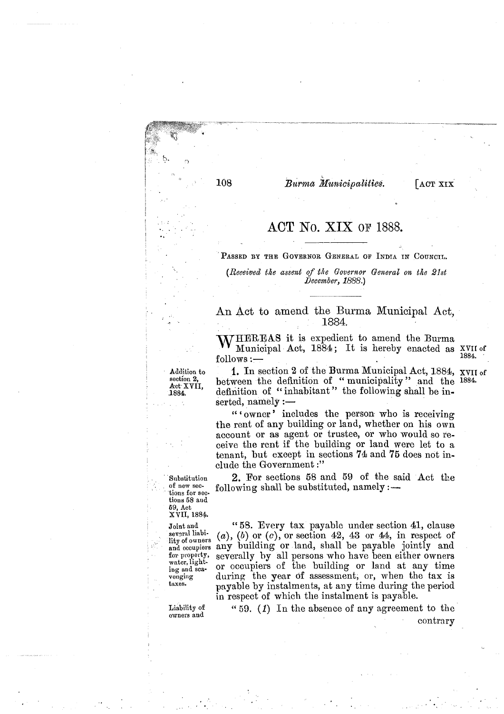Burma Municipalities.

**LACT XIX** 

## ACT No. XIX OF 1888.

PASSED BY THE GOVERNOR GENERAL OF INDIA IN COUNCIL.

*(Receiued the assent of the Governor General on tie 2lst Beeember, 1888.)* 

An Act to amend the Burma Municipad Act, 1884.

WHEREAS it is expedient to amend the Burma **VV** Municipal Act, 1884; It is hereby enacted as XVII of follows :-

108

**tions 58 aud 69, Act**  XVII, **1884.** 

sev<sub>2ral</sub> liabi-<br>lity of owners

**Liability of owners and** 

Addition to **1.** In section 2 of the Burma Municipal Act, 1884, XVII of section 2, **hotwoon** the definition of "municipality" and the 1884. ection 2,<br>
section 2,<br>
Act XVII, definition of " municipality " and the <sup>1884</sup>.<br>
1884. definition of " inhabitant" the following shall be indefinition of "inhabitant" the following shall be inserted,  $namely:$ 

> "'owner' includes the person who is receiving the rent of any building or land, whether on his own account or as agent or trustee, or who would so receive the rent if the building or land were let to a tenant, but except in sections 74 and 76 does not include the Government :"

Substitution 2. For sections 58 and 59 of the said Act the of new sec. following shall be substituted, namely :-

' **Joint and** " 55. Every tax payable under section **41,** clause several liable  $\alpha$ ,  $\alpha$ ),  $\beta$  or  $\alpha$ ), or section 42, 43 or 44, in respect of and occupiers any building or land, shall be payable jointly and and occupiers any building or land, shall be payable jointly and for property, severally by all persons who have been either owners for property, severally by all persons who have been either owners<br>water, lightwater, light-<br>ing and sea-<br>or occupiers of the building or land at any time<br>venging during the year of assessment, or, when the tax is venging during the year of assessment, or, when the tax is<br>taxes. payable by instalments, at any time during the period in respect of which tlie instalment is payable.

> " 59. (1) In the absence of any agreement to the contrary